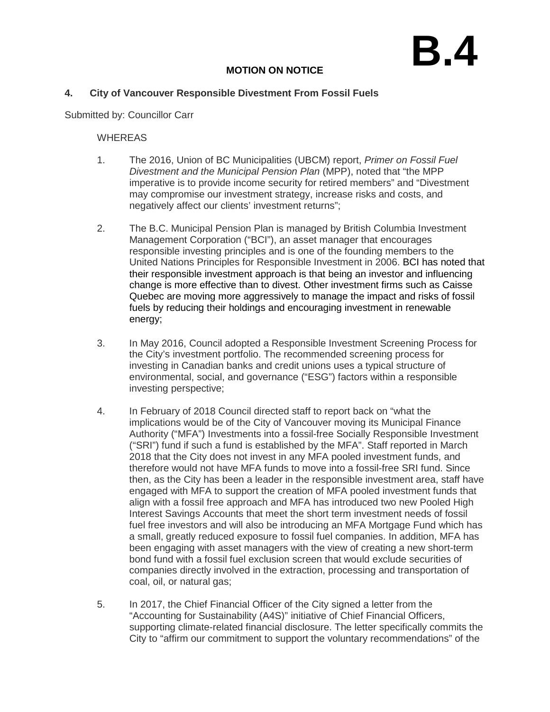## **B.4**

## **MOTION ON NOTICE**

## **4. City of Vancouver Responsible Divestment From Fossil Fuels**

Submitted by: Councillor Carr

## WHEREAS

- 1. The 2016, Union of BC Municipalities (UBCM) report, *Primer on Fossil Fuel Divestment and the Municipal Pension Plan* (MPP), noted that "the MPP imperative is to provide income security for retired members" and "Divestment may compromise our investment strategy, increase risks and costs, and negatively affect our clients' investment returns";
- 2. The B.C. Municipal Pension Plan is managed by British Columbia Investment Management Corporation ("BCI"), an asset manager that encourages responsible investing principles and is one of the founding members to the United Nations Principles for Responsible Investment in 2006. BCI has noted that their responsible investment approach is that being an investor and influencing change is more effective than to divest. Other investment firms such as Caisse Quebec are moving more aggressively to manage the impact and risks of fossil fuels by reducing their holdings and encouraging investment in renewable energy;
- 3. In May 2016, Council adopted a Responsible Investment Screening Process for the City's investment portfolio. The recommended screening process for investing in Canadian banks and credit unions uses a typical structure of environmental, social, and governance ("ESG") factors within a responsible investing perspective;
- 4. In February of 2018 Council directed staff to report back on "what the implications would be of the City of Vancouver moving its Municipal Finance Authority ("MFA") Investments into a fossil-free Socially Responsible Investment ("SRI") fund if such a fund is established by the MFA". Staff reported in March 2018 that the City does not invest in any MFA pooled investment funds, and therefore would not have MFA funds to move into a fossil-free SRI fund. Since then, as the City has been a leader in the responsible investment area, staff have engaged with MFA to support the creation of MFA pooled investment funds that align with a fossil free approach and MFA has introduced two new Pooled High Interest Savings Accounts that meet the short term investment needs of fossil fuel free investors and will also be introducing an MFA Mortgage Fund which has a small, greatly reduced exposure to fossil fuel companies. In addition, MFA has been engaging with asset managers with the view of creating a new short-term bond fund with a fossil fuel exclusion screen that would exclude securities of companies directly involved in the extraction, processing and transportation of coal, oil, or natural gas;
- 5. In 2017, the Chief Financial Officer of the City signed a letter from the "Accounting for Sustainability (A4S)" initiative of Chief Financial Officers, supporting climate-related financial disclosure. The letter specifically commits the City to "affirm our commitment to support the voluntary recommendations" of the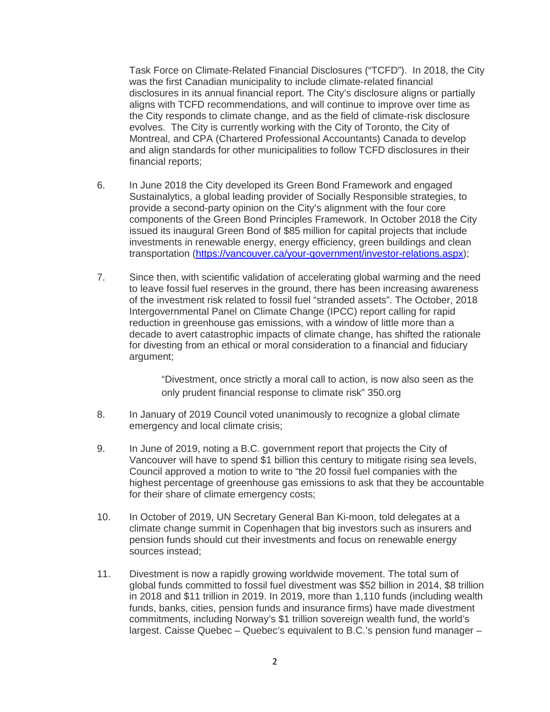Task Force on Climate-Related Financial Disclosures ("TCFD"). In 2018, the City was the first Canadian municipality to include climate-related financial disclosures in its annual financial report. The City's disclosure aligns or partially aligns with TCFD recommendations, and will continue to improve over time as the City responds to climate change, and as the field of climate-risk disclosure evolves. The City is currently working with the City of Toronto, the City of Montreal, and CPA (Chartered Professional Accountants) Canada to develop and align standards for other municipalities to follow TCFD disclosures in their financial reports;

- 6. In June 2018 the City developed its Green Bond Framework and engaged Sustainalytics, a global leading provider of Socially Responsible strategies, to provide a second-party opinion on the City's alignment with the four core components of the Green Bond Principles Framework. In October 2018 the City issued its inaugural Green Bond of \$85 million for capital projects that include investments in renewable energy, energy efficiency, green buildings and clean transportation [\(https://vancouver.ca/your-government/investor-relations.aspx\)](https://vancouver.ca/your-government/investor-relations.aspx);
- 7. Since then, with scientific validation of accelerating global warming and the need to leave fossil fuel reserves in the ground, there has been increasing awareness of the investment risk related to fossil fuel "stranded assets". The October, 2018 Intergovernmental Panel on Climate Change (IPCC) report calling for rapid reduction in greenhouse gas emissions, with a window of little more than a decade to avert catastrophic impacts of climate change, has shifted the rationale for divesting from an ethical or moral consideration to a financial and fiduciary argument;

"Divestment, once strictly a moral call to action, is now also seen as the only prudent financial response to climate risk" 350.org

- 8. In January of 2019 Council voted unanimously to recognize a global climate emergency and local climate crisis;
- 9. In June of 2019, noting a B.C. government report that projects the City of Vancouver will have to spend \$1 billion this century to mitigate rising sea levels, Council approved a motion to write to "the 20 fossil fuel companies with the highest percentage of greenhouse gas emissions to ask that they be accountable for their share of climate emergency costs;
- 10. In October of 2019, UN Secretary General Ban Ki-moon, told delegates at a climate change summit in Copenhagen that big investors such as insurers and pension funds should cut their investments and focus on renewable energy sources instead;
- 11. Divestment is now a rapidly growing worldwide movement. The total sum of global funds committed to fossil fuel divestment was \$52 billion in 2014, \$8 trillion in 2018 and \$11 trillion in 2019. In 2019, more than 1,110 funds (including wealth funds, banks, cities, pension funds and insurance firms) have made divestment commitments, including Norway's \$1 trillion sovereign wealth fund, the world's largest. Caisse Quebec – Quebec's equivalent to B.C.'s pension fund manager –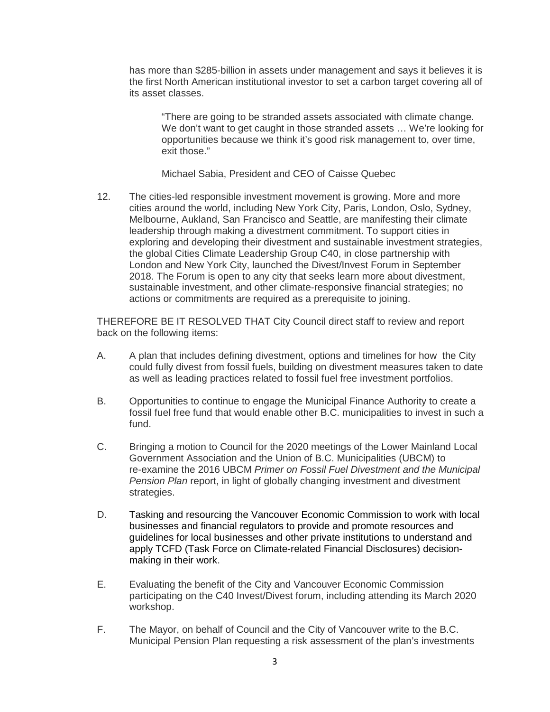has more than \$285-billion in assets under management and says it believes it is the first North American institutional investor to set a carbon target covering all of its asset classes.

"There are going to be stranded assets associated with climate change. We don't want to get caught in those stranded assets … We're looking for opportunities because we think it's good risk management to, over time, exit those."

Michael Sabia, President and CEO of Caisse Quebec

12. The cities-led responsible investment movement is growing. More and more cities around the world, including New York City, Paris, London, Oslo, Sydney, Melbourne, Aukland, San Francisco and Seattle, are manifesting their climate leadership through making a divestment commitment. To support cities in exploring and developing their divestment and sustainable investment strategies, the global Cities Climate Leadership Group C40, in close partnership with London and New York City, launched the Divest/Invest Forum in September 2018. The Forum is open to any city that seeks learn more about divestment, sustainable investment, and other climate-responsive financial strategies; no actions or commitments are required as a prerequisite to joining.

THEREFORE BE IT RESOLVED THAT City Council direct staff to review and report back on the following items:

- A. A plan that includes defining divestment, options and timelines for how the City could fully divest from fossil fuels, building on divestment measures taken to date as well as leading practices related to fossil fuel free investment portfolios.
- B. Opportunities to continue to engage the Municipal Finance Authority to create a fossil fuel free fund that would enable other B.C. municipalities to invest in such a fund.
- C. Bringing a motion to Council for the 2020 meetings of the Lower Mainland Local Government Association and the Union of B.C. Municipalities (UBCM) to re-examine the 2016 UBCM *Primer on Fossil Fuel Divestment and the Municipal Pension Plan* report, in light of globally changing investment and divestment strategies.
- D. Tasking and resourcing the Vancouver Economic Commission to work with local businesses and financial regulators to provide and promote resources and guidelines for local businesses and other private institutions to understand and apply TCFD (Task Force on Climate-related Financial Disclosures) decisionmaking in their work.
- E. Evaluating the benefit of the City and Vancouver Economic Commission participating on the C40 Invest/Divest forum, including attending its March 2020 workshop.
- F. The Mayor, on behalf of Council and the City of Vancouver write to the B.C. Municipal Pension Plan requesting a risk assessment of the plan's investments